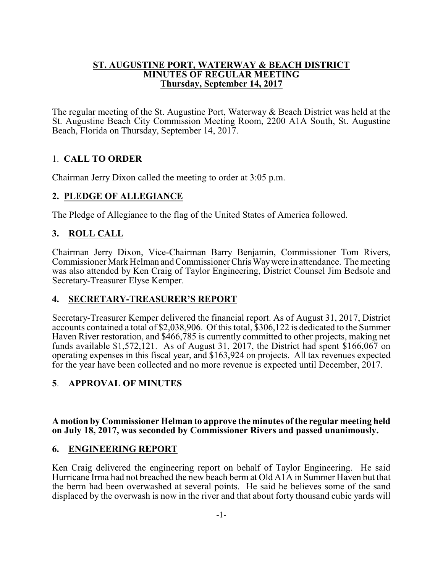#### **ST. AUGUSTINE PORT, WATERWAY & BEACH DISTRICT MINUTES OF REGULAR MEETING Thursday, September 14, 2017**

The regular meeting of the St. Augustine Port, Waterway & Beach District was held at the St. Augustine Beach City Commission Meeting Room, 2200 A1A South, St. Augustine Beach, Florida on Thursday, September 14, 2017.

# 1. **CALL TO ORDER**

Chairman Jerry Dixon called the meeting to order at 3:05 p.m.

# **2. PLEDGE OF ALLEGIANCE**

The Pledge of Allegiance to the flag of the United States of America followed.

# **3. ROLL CALL**

Chairman Jerry Dixon, Vice-Chairman Barry Benjamin, Commissioner Tom Rivers, Commissioner Mark Helman and Commissioner Chris Way were in attendance. The meeting was also attended by Ken Craig of Taylor Engineering, District Counsel Jim Bedsole and Secretary-Treasurer Elyse Kemper.

# **4. SECRETARY-TREASURER'S REPORT**

Secretary-Treasurer Kemper delivered the financial report. As of August 31, 2017, District accounts contained a total of \$2,038,906. Of this total, \$306,122 is dedicated to the Summer Haven River restoration, and \$466,785 is currently committed to other projects, making net funds available \$1,572,121. As of August 31, 2017, the District had spent \$166,067 on operating expenses in this fiscal year, and \$163,924 on projects. All tax revenues expected for the year have been collected and no more revenue is expected until December, 2017.

# **5**. **APPROVAL OF MINUTES**

#### **A motion by Commissioner Helman to approve the minutes of the regular meeting held on July 18, 2017, was seconded by Commissioner Rivers and passed unanimously.**

# **6. ENGINEERING REPORT**

Ken Craig delivered the engineering report on behalf of Taylor Engineering. He said Hurricane Irma had not breached the new beach berm at Old A1A in Summer Haven but that the berm had been overwashed at several points. He said he believes some of the sand displaced by the overwash is now in the river and that about forty thousand cubic yards will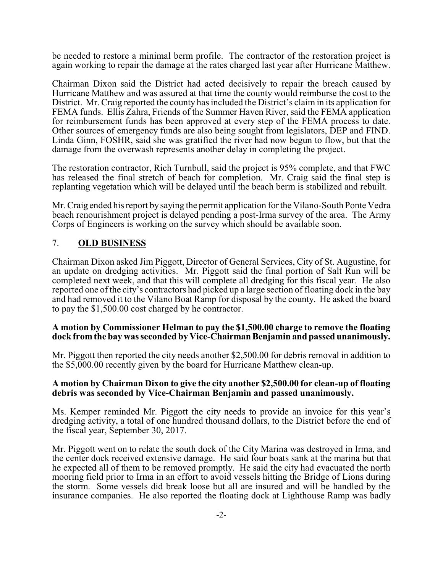be needed to restore a minimal berm profile. The contractor of the restoration project is again working to repair the damage at the rates charged last year after Hurricane Matthew.

Chairman Dixon said the District had acted decisively to repair the breach caused by Hurricane Matthew and was assured at that time the county would reimburse the cost to the District. Mr. Craig reported the county has included the District's claim in its application for FEMA funds. Ellis Zahra, Friends of the Summer Haven River, said the FEMA application for reimbursement funds has been approved at every step of the FEMA process to date. Other sources of emergency funds are also being sought from legislators, DEP and FIND. Linda Ginn, FOSHR, said she was gratified the river had now begun to flow, but that the damage from the overwash represents another delay in completing the project.

The restoration contractor, Rich Turnbull, said the project is 95% complete, and that FWC has released the final stretch of beach for completion. Mr. Craig said the final step is replanting vegetation which will be delayed until the beach berm is stabilized and rebuilt.

Mr. Craig ended his report by saying the permit application for the Vilano-South Ponte Vedra beach renourishment project is delayed pending a post-Irma survey of the area. The Army Corps of Engineers is working on the survey which should be available soon.

### 7. **OLD BUSINESS**

Chairman Dixon asked Jim Piggott, Director of General Services, City of St. Augustine, for an update on dredging activities. Mr. Piggott said the final portion of Salt Run will be completed next week, and that this will complete all dredging for this fiscal year. He also reported one of the city's contractors had picked up a large section of floating dock in the bay and had removed it to the Vilano Boat Ramp for disposal by the county. He asked the board to pay the \$1,500.00 cost charged by he contractor.

#### **A motion by Commissioner Helman to pay the \$1,500.00 charge to remove the floating dock from the bay was seconded by Vice-ChairmanBenjamin and passed unanimously.**

Mr. Piggott then reported the city needs another \$2,500.00 for debris removal in addition to the \$5,000.00 recently given by the board for Hurricane Matthew clean-up.

#### **A motion by Chairman Dixon to give the city another \$2,500.00 for clean-up of floating debris was seconded by Vice-Chairman Benjamin and passed unanimously.**

Ms. Kemper reminded Mr. Piggott the city needs to provide an invoice for this year's dredging activity, a total of one hundred thousand dollars, to the District before the end of the fiscal year, September 30, 2017.

Mr. Piggott went on to relate the south dock of the City Marina was destroyed in Irma, and the center dock received extensive damage. He said four boats sank at the marina but that he expected all of them to be removed promptly. He said the city had evacuated the north mooring field prior to Irma in an effort to avoid vessels hitting the Bridge of Lions during the storm. Some vessels did break loose but all are insured and will be handled by the insurance companies. He also reported the floating dock at Lighthouse Ramp was badly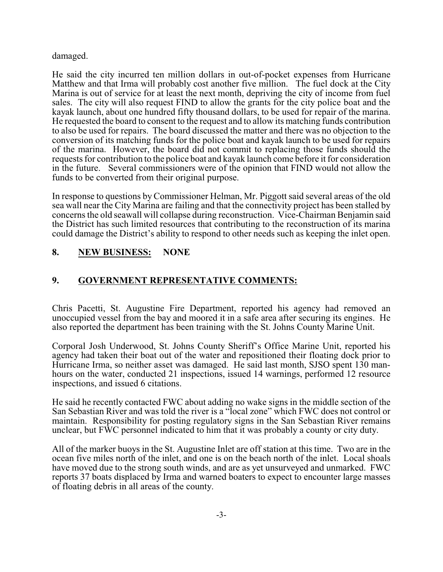### damaged.

He said the city incurred ten million dollars in out-of-pocket expenses from Hurricane Matthew and that Irma will probably cost another five million. The fuel dock at the City Marina is out of service for at least the next month, depriving the city of income from fuel sales. The city will also request FIND to allow the grants for the city police boat and the kayak launch, about one hundred fifty thousand dollars, to be used for repair of the marina. He requested the board to consent to the request and to allow its matching funds contribution to also be used for repairs. The board discussed the matter and there was no objection to the conversion of its matching funds for the police boat and kayak launch to be used for repairs of the marina. However, the board did not commit to replacing those funds should the requests for contribution to the police boat and kayak launch come before it for consideration in the future. Several commissioners were of the opinion that FIND would not allow the funds to be converted from their original purpose.

In response to questions by Commissioner Helman, Mr. Piggott said several areas of the old sea wall near the City Marina are failing and that the connectivity project has been stalled by concerns the old seawall will collapse during reconstruction. Vice-Chairman Benjamin said the District has such limited resources that contributing to the reconstruction of its marina could damage the District's ability to respond to other needs such as keeping the inlet open.

# **8. NEW BUSINESS: NONE**

# **9. GOVERNMENT REPRESENTATIVE COMMENTS:**

Chris Pacetti, St. Augustine Fire Department, reported his agency had removed an unoccupied vessel from the bay and moored it in a safe area after securing its engines. He also reported the department has been training with the St. Johns County Marine Unit.

Corporal Josh Underwood, St. Johns County Sheriff's Office Marine Unit, reported his agency had taken their boat out of the water and repositioned their floating dock prior to Hurricane Irma, so neither asset was damaged. He said last month, SJSO spent 130 manhours on the water, conducted 21 inspections, issued 14 warnings, performed 12 resource inspections, and issued 6 citations.

He said he recently contacted FWC about adding no wake signs in the middle section of the San Sebastian River and was told the river is a "local zone" which FWC does not control or maintain. Responsibility for posting regulatory signs in the San Sebastian River remains unclear, but FWC personnel indicated to him that it was probably a county or city duty.

All of the marker buoys in the St. Augustine Inlet are off station at this time. Two are in the ocean five miles north of the inlet, and one is on the beach north of the inlet. Local shoals have moved due to the strong south winds, and are as yet unsurveyed and unmarked. FWC reports 37 boats displaced by Irma and warned boaters to expect to encounter large masses of floating debris in all areas of the county.